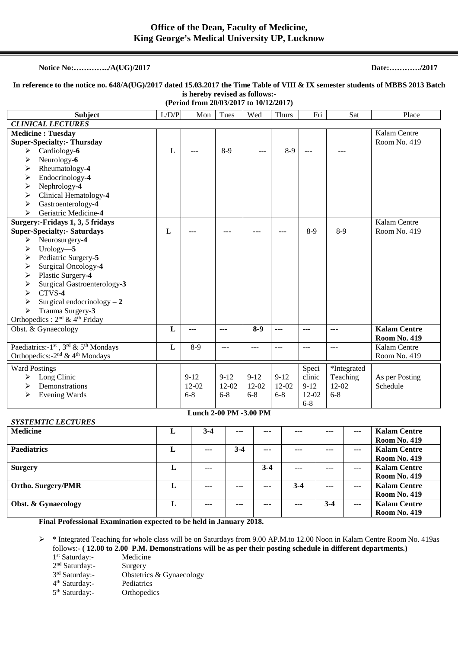## **Notice No:…………../A(UG)/2017 Date:…………/2017**

## **In reference to the notice no. 648/A(UG)/2017 dated 15.03.2017 the Time Table of VIII & IX semester students of MBBS 2013 Batch is hereby revised as follows:-**

**(Period from 20/03/2017 to 10/12/2017)** 

| <b>Subject</b>                                                                                                                                                                                                                                                                                                                                                      | L/D/P | Mon                                                      | Tues                             | Wed                              | <b>Thurs</b>                     | Fri                                             | Sat                                             | Place                                      |
|---------------------------------------------------------------------------------------------------------------------------------------------------------------------------------------------------------------------------------------------------------------------------------------------------------------------------------------------------------------------|-------|----------------------------------------------------------|----------------------------------|----------------------------------|----------------------------------|-------------------------------------------------|-------------------------------------------------|--------------------------------------------|
| <b>CLINICAL LECTURES</b>                                                                                                                                                                                                                                                                                                                                            |       |                                                          |                                  |                                  |                                  |                                                 |                                                 |                                            |
| <b>Medicine: Tuesday</b><br><b>Super-Specialty:- Thursday</b><br>Cardiology-6<br>➤<br>Neurology-6<br>➤<br>Rheumatology-4<br>➤<br>Endocrinology-4<br>➤<br>Nephrology-4<br>≻<br>Clinical Hematology-4<br>➤<br>Gastroenterology-4<br>➤<br>Geriatric Medicine-4<br>➤                                                                                                    | L     |                                                          | $8-9$                            |                                  | $8-9$                            |                                                 |                                                 | Kalam Centre<br>Room No. 419               |
| Surgery:-Fridays 1, 3, 5 fridays<br><b>Super-Specialty:- Saturdays</b><br>Neurosurgery-4<br>➤<br>Urology $-5$<br>➤<br>Pediatric Surgery-5<br>➤<br>Surgical Oncology-4<br>➤<br>Plastic Surgery-4<br>➤<br>Surgical Gastroenterology-3<br>➤<br>CTVS-4<br>↘<br>Surgical endocrinology $-2$<br>➤<br>Trauma Surgery-3<br>➤<br>Orthopedics: $2nd$ & 4 <sup>th</sup> Friday | L     |                                                          |                                  |                                  |                                  | $8-9$                                           | $8-9$                                           | Kalam Centre<br>Room No. 419               |
| Obst. & Gynaecology                                                                                                                                                                                                                                                                                                                                                 | L     | ---                                                      | ---                              | $8-9$                            | ---                              | ---                                             | ---                                             | <b>Kalam Centre</b><br><b>Room No. 419</b> |
| Paediatrics:-1 <sup>st</sup> , 3 <sup>rd</sup> & 5 <sup>th</sup> Mondays<br>Orthopedics: -2 <sup>nd</sup> & 4 <sup>th</sup> Mondays                                                                                                                                                                                                                                 | L     | $8-9$                                                    | $---$                            | $---$                            | $-$ --                           | $---$                                           | ---                                             | Kalam Centre<br>Room No. 419               |
| <b>Ward Postings</b><br>Long Clinic<br>➤<br>Demonstrations<br>➤<br>Evening Wards<br>➤                                                                                                                                                                                                                                                                               |       | $9 - 12$<br>$12-02$<br>$6 - 8$<br>Lunch 2-00 PM -3.00 PM | $9 - 12$<br>$12 - 02$<br>$6 - 8$ | $9 - 12$<br>$12 - 02$<br>$6 - 8$ | $9 - 12$<br>$12 - 02$<br>$6 - 8$ | Speci<br>clinic<br>$9 - 12$<br>12-02<br>$6 - 8$ | *Integrated<br>Teaching<br>$12 - 02$<br>$6 - 8$ | As per Posting<br>Schedule                 |

## *SYSTEMTIC LECTURES*

| <b>Medicine</b>           | L | $3-4$ | $--$  | $- - -$ | ---     | $---$   | $- - -$        | <b>Kalam Centre</b> |
|---------------------------|---|-------|-------|---------|---------|---------|----------------|---------------------|
|                           |   |       |       |         |         |         |                | <b>Room No. 419</b> |
| <b>Paediatrics</b>        | L | $---$ | $3-4$ | $- - -$ |         | $- - -$ | $\overline{a}$ | <b>Kalam Centre</b> |
|                           |   |       |       |         |         |         |                | <b>Room No. 419</b> |
| <b>Surgery</b>            | L | $---$ |       | $3 - 4$ | $- - -$ | $- - -$ | $- - -$        | <b>Kalam Centre</b> |
|                           |   |       |       |         |         |         |                | <b>Room No. 419</b> |
| <b>Ortho. Surgery/PMR</b> | ⊥ | $---$ | $---$ | $---$   | $3-4$   | $- - -$ | $- - -$        | <b>Kalam Centre</b> |
|                           |   |       |       |         |         |         |                | <b>Room No. 419</b> |
| Obst. & Gynaecology       | ப | $--$  | $--$  | $- - -$ | $--$    | $3-4$   | $- - -$        | <b>Kalam Centre</b> |
|                           |   |       |       |         |         |         |                | <b>Room No. 419</b> |

 **Final Professional Examination expected to be held in January 2018.** 

 \* Integrated Teaching for whole class will be on Saturdays from 9.00 AP.M.to 12.00 Noon in Kalam Centre Room No. 419as follows:- **( 12.00 to 2.00 P.M. Demonstrations will be as per their posting schedule in different departments.)**

- 1<sup>st</sup> Saturday:- Medicine
- 2 nd Saturday:- Surgery
- 3rd Saturday:-Obstetrics & Gynaecology

4 th Saturday:- Pediatrics

5<sup>th</sup> Saturday:- Orthopedics